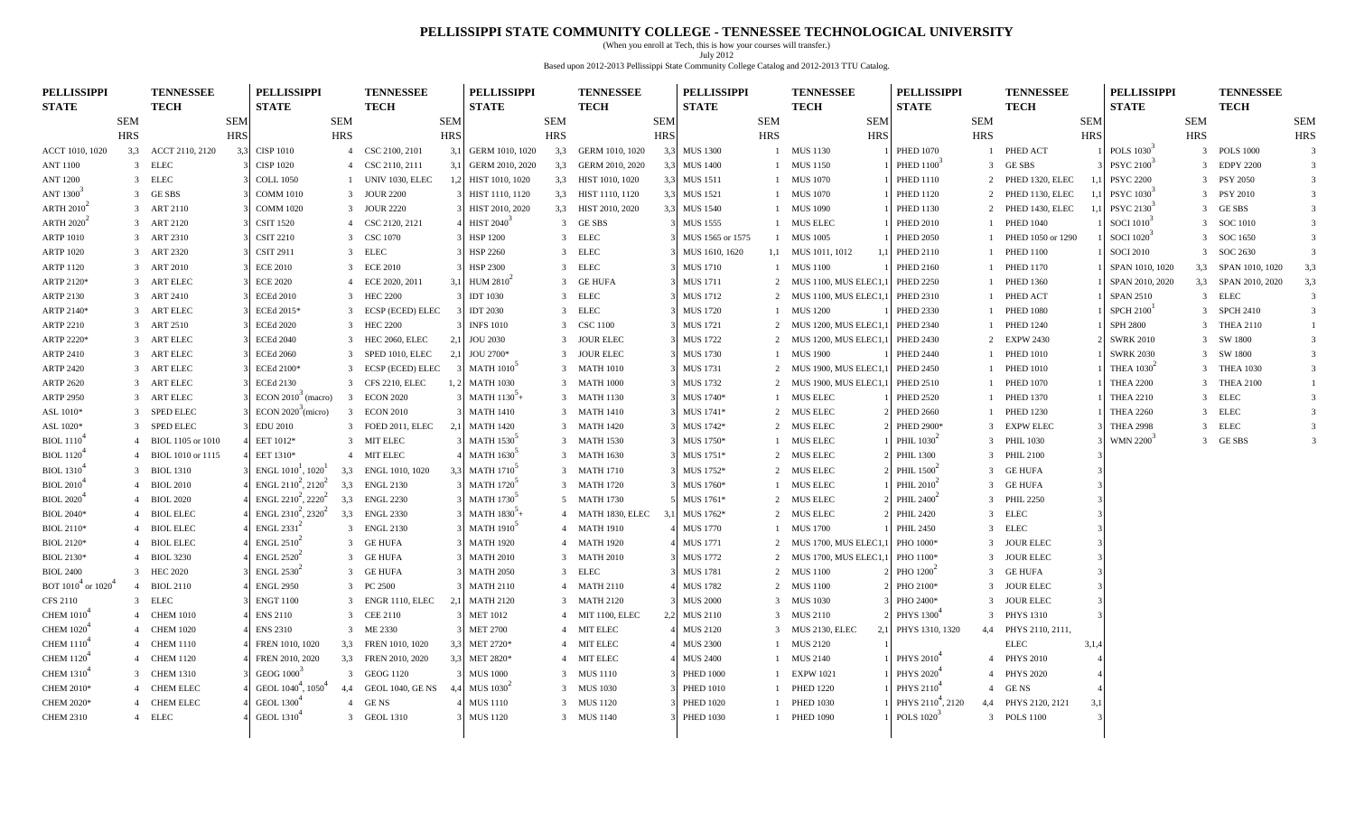#### **PELLISSIPPI STATE COMMUNITY COLLEGE - TENNESSEE TECHNOLOGICAL UNIVERSITY**

(When you enroll at Tech, this is how your courses will transfer.) July 2012 Based upon 2012-2013 Pellissippi State Community College Catalog and 2012-2013 TTU Catalog.

| <b>PELLISSIPPI</b>                       |                | <b>TENNESSEE</b>    |            | <b>PELLISSIPPI</b>                           |                | <b>TENNESSEE</b>       |                  | <b>PELLISSIPPI</b>                       |            | <b>TENNESSEE</b>      |            | <b>PELLISSIPPI</b> |            | <b>TENNESSEE</b>       | <b>PELLISSIPPI</b>            |                | <b>TENNESSEE</b>    |            | <b>PELLISSIPPI</b>     |            | <b>TENNESSEE</b>    |                         |
|------------------------------------------|----------------|---------------------|------------|----------------------------------------------|----------------|------------------------|------------------|------------------------------------------|------------|-----------------------|------------|--------------------|------------|------------------------|-------------------------------|----------------|---------------------|------------|------------------------|------------|---------------------|-------------------------|
| <b>STATE</b>                             |                | <b>TECH</b>         |            | <b>STATE</b>                                 |                | <b>TECH</b>            |                  | <b>STATE</b>                             |            | <b>TECH</b>           |            | <b>STATE</b>       |            | <b>TECH</b>            | <b>STATE</b>                  |                | <b>TECH</b>         |            | <b>STATE</b>           |            | <b>TECH</b>         |                         |
|                                          | <b>SEM</b>     |                     | <b>SEM</b> |                                              | <b>SEM</b>     |                        | <b>SEM</b>       |                                          | <b>SEM</b> |                       | <b>SEM</b> |                    | <b>SEM</b> | <b>SEM</b>             |                               | SEM            |                     | <b>SEM</b> |                        | <b>SEM</b> |                     | <b>SEM</b>              |
|                                          | <b>HRS</b>     |                     | <b>HRS</b> |                                              | <b>HRS</b>     |                        | <b>HRS</b>       |                                          | <b>HRS</b> |                       | <b>HRS</b> |                    | <b>HRS</b> | <b>HRS</b>             |                               | <b>HRS</b>     |                     | <b>HRS</b> |                        | <b>HRS</b> |                     | <b>HRS</b>              |
| ACCT 1010, 1020                          |                | 3,3 ACCT 2110, 2120 | 3.3        | <b>CISP 1010</b>                             |                | 4 CSC 2100, 2101       | 3,1              | GERM 1010, 1020                          | 3,3        | GERM 1010, 1020       | 3,3        | <b>MUS 1300</b>    |            | 1 MUS 1130             | <b>PHED 1070</b>              |                | 1 PHED ACT          |            | POLS 1030 <sup>3</sup> |            | 3 POLS 1000         | $\overline{\mathbf{3}}$ |
| <b>ANT 1100</b>                          |                | 3 ELEC              |            | <b>CISP 1020</b>                             |                | 4 CSC 2110, 2111       | 3,1              | GERM 2010, 2020                          |            | 3,3 GERM 2010, 2020   | 3,3        | <b>MUS 1400</b>    |            | 1 MUS 1150             | PHED $1100^3$                 |                | 3 GESBS             |            | PSYC 2100 <sup>3</sup> |            | 3 EDPY 2200         | 3                       |
| <b>ANT 1200</b>                          | $\overline{3}$ | <b>ELEC</b>         |            | <b>COLL 1050</b>                             |                | <b>UNIV 1030, ELEC</b> | 1.2              | HIST 1010, 1020                          |            | 3,3 HIST 1010, 1020   |            | 3,3 MUS 1511       |            | 1 MUS 1070             | <b>PHED 1110</b>              | 2              | PHED 1320, ELEC     |            | <b>PSYC 2200</b>       |            | 3 PSY 2050          | $\overline{3}$          |
| ANT 1300 <sup>3</sup>                    |                | 3 GESBS             |            | <b>COMM 1010</b>                             |                | 3 JOUR 2200            |                  | HIST 1110, 1120                          |            | 3,3 HIST 1110, 1120   |            | 3,3 MUS 1521       |            | 1 MUS 1070             | <b>PHED 1120</b>              | 2              | PHED 1130, ELEC     |            | PSYC 1030              |            | 3 PSY 2010          | $\overline{3}$          |
| ARTH $2010^2$                            |                | 3 ART 2110          |            | <b>COMM 1020</b>                             |                | 3 JOUR 2220            |                  | HIST 2010, 2020                          |            | 3,3 HIST 2010, 2020   |            | 3,3 MUS 1540       |            | 1 MUS 1090             | <b>PHED 1130</b>              | $\mathcal{L}$  | PHED 1430, ELEC     |            | PSYC 2130              |            | 3 GESBS             | 3                       |
| ARTH $2020^2$                            |                | 3 ART 2120          |            | <b>CSIT 1520</b>                             |                | 4 CSC 2120, 2121       |                  | <b>HIST 2040</b> <sup>3</sup>            |            | 3 GESBS               |            | <b>MUS 1555</b>    |            | 1 MUS ELEC             | <b>PHED 2010</b>              |                | <b>PHED 1040</b>    |            | SOCI 1010 <sup>3</sup> |            | 3 SOC 1010          | $\overline{3}$          |
| <b>ARTP 1010</b>                         |                | 3 ART 2310          |            | <b>CSIT 2210</b>                             |                | 3 CSC 1070             |                  | <b>HSP 1200</b>                          |            | 3 ELEC                |            | MUS 1565 or 1575   |            | 1 MUS 1005             | <b>PHED 2050</b>              |                | PHED 1050 or 1290   |            | SOCI 1020              |            | 3 SOC 1650          | $\overline{3}$          |
| <b>ARTP 1020</b>                         |                | 3 ART 2320          |            | <b>CSIT 2911</b>                             |                | 3 ELEC                 |                  | <b>HSP 2260</b>                          |            | 3 ELEC                |            | MUS 1610, 1620     |            | 1,1 MUS 1011, 1012     | PHED 2110                     |                | <b>PHED 1100</b>    |            | <b>SOCI 2010</b>       |            | 3 SOC 2630          | $\overline{3}$          |
| ARTP 1120                                |                | 3 ART 2010          |            | <b>ECE 2010</b>                              |                | 3 ECE 2010             |                  | <b>HSP 2300</b>                          |            | 3 ELEC                |            | MUS 1710           |            | 1 MUS 1100             | <b>PHED 2160</b>              |                | <b>PHED 1170</b>    |            | SPAN 1010, 1020        |            | 3,3 SPAN 1010, 1020 | 3,3                     |
| ARTP 2120*                               |                | 3 ART ELEC          |            | <b>ECE 2020</b>                              |                | 4 ECE 2020, 2011       |                  | <b>HUM 2810</b>                          |            | 3 GE HUFA             |            | MUS 1711           |            | 2 MUS 1100, MUS ELEC1  | <b>PHED 2250</b>              |                | <b>PHED 1360</b>    |            | SPAN 2010, 2020        |            | 3,3 SPAN 2010, 2020 | 3,3                     |
| ARTP 2130                                |                | 3 ART 2410          |            | <b>ECEd 2010</b>                             |                | 3 HEC 2200             |                  | <b>IDT 1030</b>                          |            | 3 ELEC                |            | <b>MUS 1712</b>    |            | 2 MUS 1100, MUS ELEC1, | <b>PHED 2310</b>              |                | PHED ACT            |            | <b>SPAN 2510</b>       |            | 3 ELEC              | $\overline{3}$          |
| ARTP 2140*                               |                | 3 ART ELEC          |            | ECEd 2015*                                   |                | 3 ECSP (ECED) ELEC     |                  | <b>IDT 2030</b>                          |            | 3 ELEC                |            | <b>MUS 1720</b>    |            | 1 MUS 1200             | <b>PHED 2330</b>              |                | <b>PHED 1080</b>    |            | SPCH 2100 <sup>1</sup> |            | 3 SPCH 2410         | $\overline{\mathbf{3}}$ |
| ARTP 2210                                |                | 3 ART 2510          |            | <b>ECEd 2020</b>                             |                | 3 HEC 2200             |                  | <b>INFS 1010</b>                         |            | 3 CSC 1100            |            | <b>MUS 1721</b>    |            | 2 MUS 1200, MUS ELEC1  | <b>PHED 2340</b>              |                | <b>PHED 1240</b>    |            | <b>SPH 2800</b>        |            | 3 THEA 2110         | $\mathbf{1}$            |
| ARTP 2220*                               |                | 3 ART ELEC          |            | <b>ECEd 2040</b>                             |                | 3 HEC 2060, ELEC       | 2,1              | <b>JOU 2030</b>                          |            | 3 JOUR ELEC           |            | <b>MUS 1722</b>    |            | 2 MUS 1200, MUS ELEC1, | <b>PHED 2430</b>              | 2              | <b>EXPW 2430</b>    |            | <b>SWRK 2010</b>       |            | 3 SW 1800           | $\overline{3}$          |
| ARTP 2410                                |                | 3 ART ELEC          |            | <b>ECEd 2060</b>                             |                | 3 SPED 1010, ELEC      | $\overline{2}$ . | JOU 2700*                                |            | 3 JOUR ELEC           |            | <b>MUS 1730</b>    |            | 1 MUS 1900             | <b>PHED 2440</b>              |                | <b>PHED 1010</b>    |            | <b>SWRK 2030</b>       |            | 3 SW 1800           | $\overline{3}$          |
| ARTP 2420                                |                | 3 ART ELEC          |            | ECEd 2100*                                   |                | 3 ECSP (ECED) ELEC     |                  | <b>MATH 1010</b> <sup><sup>3</sup></sup> |            | 3 MATH 1010           |            | <b>MUS 1731</b>    |            | 2 MUS 1900, MUS ELEC1  | <b>PHED 2450</b>              |                | <b>PHED 1010</b>    |            | THEA $10302$           |            | 3 THEA 1030         | $\mathbf{3}$            |
| <b>ARTP 2620</b>                         |                | 3 ART ELEC          |            | <b>ECEd 2130</b>                             |                | 3 CFS 2210, ELEC       | 1, 2             | <b>MATH 1030</b>                         |            | 3 MATH 1000           |            | <b>MUS 1732</b>    |            | 2 MUS 1900, MUS ELEC1, | <b>PHED 2510</b>              |                | <b>PHED 1070</b>    |            | <b>THEA 2200</b>       |            | 3 THEA 2100         |                         |
| <b>ARTP 2950</b>                         |                | 3 ART ELEC          |            | ECON $2010^3$ (macro)                        | $\overline{3}$ | <b>ECON 2020</b>       |                  | MATH $1130^{3}$ +                        |            | 3 MATH 1130           |            | MUS 1740*          |            | 1 MUS ELEC             | <b>PHED 2520</b>              |                | <b>PHED 1370</b>    |            | <b>THEA 2210</b>       |            | 3 ELEC              | $\overline{3}$          |
| ASL 1010*                                |                | 3 SPED ELEC         |            | $ECON 2020$ <sup>3</sup> (micro)             |                | 3 ECON 2010            |                  | <b>MATH 1410</b>                         |            | 3 MATH 1410           |            | MUS 1741*          |            | 2 MUS ELEC             | <b>PHED 2660</b>              |                | <b>PHED 1230</b>    |            | <b>THEA 2260</b>       |            | 3 ELEC              | 3                       |
| ASL 1020*                                | -3             | SPED ELEC           |            | <b>EDU 2010</b>                              |                | 3 FOED 2011, ELEC      |                  | <b>MATH 1420</b>                         |            | 3 MATH 1420           |            | MUS 1742*          |            | 2 MUS ELEC             | PHED 2900*                    | 3              | <b>EXPW ELEC</b>    |            | <b>THEA 2998</b>       |            | 3 ELEC              | 3                       |
| <b>BIOL</b> 1110 <sup>4</sup>            | $\overline{4}$ | BIOL 1105 or 1010   |            | EET 1012*                                    |                | 3 MIT ELEC             |                  | <b>MATH 1530</b>                         |            | 3 MATH 1530           |            | MUS 1750*          |            | 1 MUS ELEC             | PHIL $1030^2$                 |                | 3 PHIL 1030         |            | WMN 2200 <sup>3</sup>  |            | 3 GESBS             | 3                       |
| <b>BIOL</b> 1120 <sup>4</sup>            |                | 4 BIOL 1010 or 1115 |            | EET 1310*                                    |                | 4 MIT ELEC             |                  | <b>MATH 1630</b>                         |            | 3 MATH 1630           |            | MUS 1751*          |            | 2 MUS ELEC             | <b>PHIL 1300</b>              |                | 3 PHIL 2100         |            |                        |            |                     |                         |
| <b>BIOL</b> 1310 <sup><sup>+</sup></sup> | $\mathcal{R}$  | <b>BIOL 1310</b>    |            | ENGL $1010^1$ , $1020^1$                     |                | 3,3 ENGL 1010, 1020    |                  | <b>MATH 1710</b>                         |            | 3 MATH 1710           |            | MUS 1752*          |            | 2 MUS ELEC             | PHIL 1500 <sup>-</sup>        |                | 3 GE HUFA           |            |                        |            |                     |                         |
| <b>BIOL 2010</b> <sup>+</sup>            | $\overline{4}$ | <b>BIOL 2010</b>    |            | ENGL $2110^2$ , $2120^2$                     | 3,3            | <b>ENGL 2130</b>       |                  | <b>MATH 1720</b>                         |            | 3 MATH 1720           |            | MUS 1760*          |            | 1 MUS ELEC             | PHIL 2010 <sup>-</sup>        |                | 3 GE HUFA           |            |                        |            |                     |                         |
| <b>BIOL 2020</b> <sup>+</sup>            |                | 4 BIOL 2020         |            | ENGL $2210^2$ , $2220^2$                     | 3,3            | <b>ENGL 2230</b>       |                  | <b>MATH 1730</b>                         |            | 5 MATH 1730           |            | MUS 1761*          |            | 2 MUS ELEC             | PHIL 2400 <sup>-</sup>        |                | 3 PHIL 2250         |            |                        |            |                     |                         |
| <b>BIOL 2040*</b>                        |                | <b>BIOL ELEC</b>    |            | ENGL $2310^2$ , $2320^2$                     | 3,3            | <b>ENGL 2330</b>       |                  | MATH $1830^{5}$ +                        |            | 4 MATH 1830, ELEC 3,1 |            | MUS 1762*          |            | 2 MUS ELEC             | <b>PHIL 2420</b>              | $\overline{3}$ | ELEC                |            |                        |            |                     |                         |
| <b>BIOL 2110*</b>                        |                | 4 BIOL ELEC         |            | $ENGL$ 2331 <sup>2</sup>                     |                | 3 ENGL 2130            |                  | <b>MATH 1910</b> <sup>5</sup>            |            | 4 MATH 1910           |            | <b>MUS 1770</b>    |            | 1 MUS 1700             | <b>PHIL 2450</b>              |                | 3 ELEC              |            |                        |            |                     |                         |
| BIOL 2120*                               |                | 4 BIOL ELEC         |            | $ENGL$ 2510 <sup><math>\acute{}</math></sup> |                | 3 GE HUFA              |                  | <b>MATH 1920</b>                         |            | 4 MATH 1920           |            | <b>MUS 1771</b>    |            | 2 MUS 1700, MUS ELEC1  | PHO 1000*                     |                | 3 JOUR ELEC         |            |                        |            |                     |                         |
| BIOL 2130*                               | $\overline{4}$ | <b>BIOL 3230</b>    |            | $ENGL$ 2520 <sup><math>\acute{}</math></sup> |                | 3 GE HUFA              |                  | <b>MATH 2010</b>                         |            | 3 MATH 2010           |            | <b>MUS 1772</b>    | 2          | MUS 1700, MUS ELEC1.   | PHO 1100*                     | $\mathcal{E}$  | <b>JOUR ELEC</b>    |            |                        |            |                     |                         |
| <b>BIOL 2400</b>                         |                | 3 HEC 2020          |            | $ENGL$ 2530 <sup><math>\acute{}</math></sup> |                | 3 GE HUFA              |                  | <b>MATH 2050</b>                         |            | 3 ELEC                |            | <b>MUS 1781</b>    |            | 2 MUS 1100             | PHO 1200 <sup>2</sup>         |                | 3 GE HUFA           |            |                        |            |                     |                         |
| BOT $1010^4$ or $1020^6$                 |                | 4 BIOL 2110         |            | <b>ENGL 2950</b>                             |                | 3 PC 2500              |                  | <b>MATH 2110</b>                         |            | 4 MATH 2110           |            | <b>MUS 1782</b>    |            | 2 MUS 1100             | PHO 2100*                     |                | 3 JOUR ELEC         |            |                        |            |                     |                         |
| <b>CFS 2110</b>                          | 3              | <b>ELEC</b>         |            | <b>ENGT 1100</b>                             |                | 3 ENGR 1110, ELEC      |                  | <b>MATH 2120</b>                         |            | 3 MATH 2120           |            | <b>MUS 2000</b>    |            | 3 MUS 1030             | PHO 2400*                     | $\overline{3}$ | <b>JOUR ELEC</b>    |            |                        |            |                     |                         |
| <b>CHEM 1010</b> <sup>4</sup>            |                | 4 CHEM 1010         |            | <b>ENS 2110</b>                              |                | 3 CEE 2110             |                  | <b>MET 1012</b>                          |            | 4 MIT 1100, ELEC      | 2.2        | <b>MUS 2110</b>    |            | 3 MUS 2110             | PHYS 1300 <sup>+</sup>        |                | 3 PHYS 1310         |            |                        |            |                     |                         |
| CHEM $10204$                             |                | 4 CHEM 1020         |            | <b>ENS 2310</b>                              |                | 3 ME 2330              |                  | <b>MET 2700</b>                          |            | 4 MIT ELEC            |            | <b>MUS 2120</b>    |            | 3 MUS 2130, ELEC       | PHYS 1310, 1320               | 4,4            | PHYS 2110, 2111,    |            |                        |            |                     |                         |
| <b>CHEM 1110</b>                         |                | 4 CHEM 1110         |            | FREN 1010, 1020                              |                | 3,3 FREN 1010, 1020    | 3.               | MET 2720*                                |            | 4 MIT ELEC            |            | <b>MUS 2300</b>    |            | 1 MUS 2120             |                               |                | <b>ELEC</b>         | 3,1,4      |                        |            |                     |                         |
| <b>CHEM 1120</b> <sup>4</sup>            |                | 4 CHEM 1120         |            | FREN 2010, 2020                              |                | 3,3 FREN 2010, 2020    |                  | MET 2820*                                |            | 4 MIT ELEC            |            | <b>MUS 2400</b>    |            | 1 MUS 2140             | PHYS 2010 <sup>4</sup>        |                | 4 PHYS 2010         |            |                        |            |                     |                         |
| <b>CHEM 1310<sup>4</sup></b>             |                | 3 CHEM 1310         |            | GEOG 1000 <sup>3</sup>                       |                | 3 GEOG 1120            |                  | <b>MUS 1000</b>                          |            | 3 MUS 1110            |            | <b>PHED 1000</b>   |            | 1 EXPW 1021            | PHYS 2020 <sup>4</sup>        | $\overline{4}$ | <b>PHYS 2020</b>    |            |                        |            |                     |                         |
| CHEM 2010*                               | 4              | <b>CHEM ELEC</b>    |            | GEOL 1040 <sup>4</sup> , 1050 <sup>4</sup>   | 4,4            | GEOL 1040, GE NS       |                  | MUS $1030^2$                             |            | 3 MUS 1030            |            | <b>PHED 1010</b>   |            | 1 PHED 1220            | PHYS 2110 <sup>4</sup>        | $\overline{4}$ | GE NS               |            |                        |            |                     |                         |
| CHEM 2020*                               |                | 4 CHEM ELEC         |            | GEOL 1300                                    |                | 4 GENS                 |                  | MUS 1110                                 |            | 3 MUS 1120            |            | <b>PHED 1020</b>   |            | 1 PHED 1030            | PHYS 2110 <sup>4</sup> , 2120 |                | 4,4 PHYS 2120, 2121 | 3,1        |                        |            |                     |                         |
| <b>CHEM 2310</b>                         |                | 4 ELEC              |            | GEOL 1310 <sup>4</sup>                       |                | 3 GEOL 1310            |                  | <b>MUS 1120</b>                          |            | 3 MUS 1140            |            | <b>PHED 1030</b>   |            | 1 PHED 1090            | POLS 1020 <sup>-</sup>        |                | 3 POLS 1100         |            |                        |            |                     |                         |
|                                          |                |                     |            |                                              |                |                        |                  |                                          |            |                       |            |                    |            |                        |                               |                |                     |            |                        |            |                     |                         |